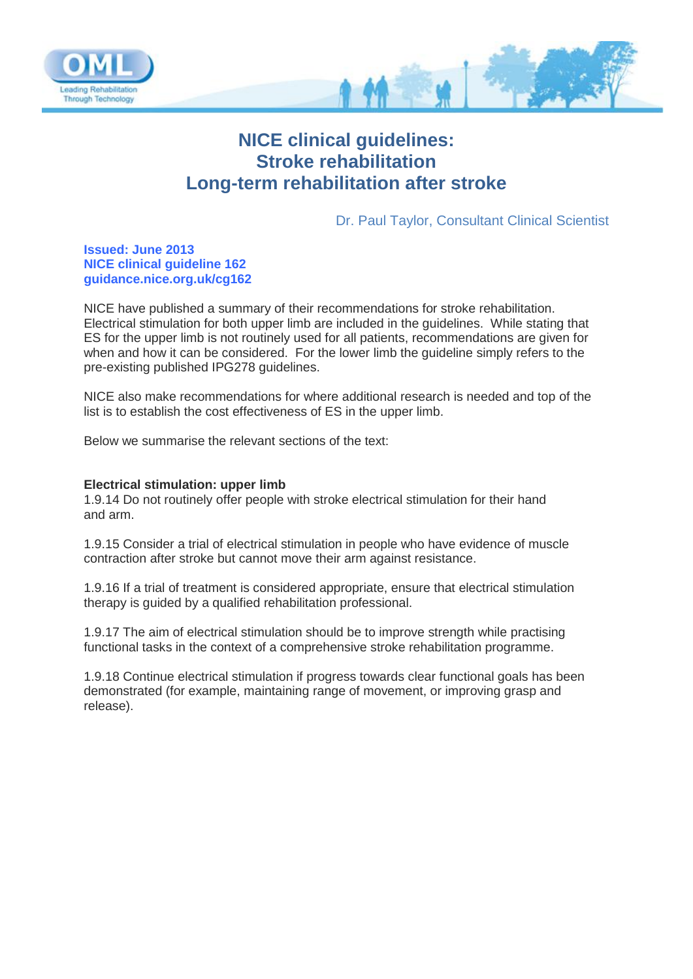

# **NICE clinical guidelines: Stroke rehabilitation Long-term rehabilitation after stroke**

Dr. Paul Taylor, Consultant Clinical Scientist

# **Issued: June 2013 NICE clinical guideline 162 guidance.nice.org.uk/cg162**

NICE have published a summary of their recommendations for stroke rehabilitation. Electrical stimulation for both upper limb are included in the guidelines. While stating that ES for the upper limb is not routinely used for all patients, recommendations are given for when and how it can be considered. For the lower limb the guideline simply refers to the pre-existing published IPG278 guidelines.

NICE also make recommendations for where additional research is needed and top of the list is to establish the cost effectiveness of ES in the upper limb.

Below we summarise the relevant sections of the text:

# **Electrical stimulation: upper limb**

1.9.14 Do not routinely offer people with stroke electrical stimulation for their hand and arm.

1.9.15 Consider a trial of electrical stimulation in people who have evidence of muscle contraction after stroke but cannot move their arm against resistance.

1.9.16 If a trial of treatment is considered appropriate, ensure that electrical stimulation therapy is guided by a qualified rehabilitation professional.

1.9.17 The aim of electrical stimulation should be to improve strength while practising functional tasks in the context of a comprehensive stroke rehabilitation programme.

1.9.18 Continue electrical stimulation if progress towards clear functional goals has been demonstrated (for example, maintaining range of movement, or improving grasp and release).